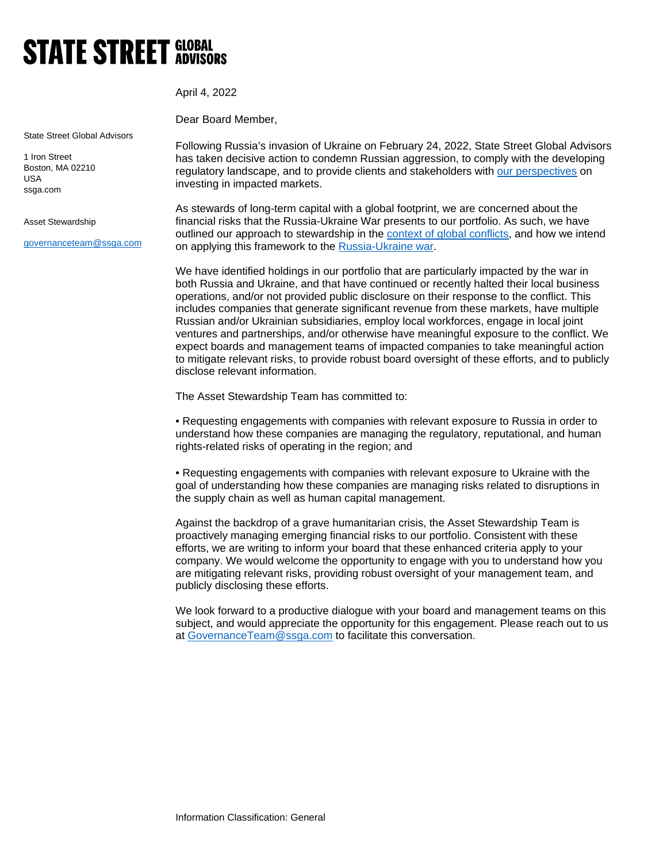## **STATE STREET GLOBAL**

State Street Global Advisors

1 Iron Street Boston, MA 02210 USA ssga.com

## Asset Stewardship

[governanceteam@ssga.com](mailto:governanceteam@ssga.com)

Dear Board Member,

April 4, 2022

Following Russia's invasion of Ukraine on February 24, 2022, State Street Global Advisors has taken decisive action to condemn Russian aggression, to comply with the developing regulatory landscape, and to provide clients and stakeholders with [our perspectives](https://www.ssga.com/us/en/institutional/etfs/insights/questions-emerging-from-the-russia-ukraine-conflict) on investing in impacted markets.

As stewards of long-term capital with a global footprint, we are concerned about the financial risks that the Russia-Ukraine War presents to our portfolio. As such, we have outlined our approach to stewardship in the [context of global conflicts,](https://www.ssga.com/library-content/pdfs/global/framework-for-stewardship-in-context-of-geopolitical-risk.pdf) and how we intend on applying this framework to the [Russia-Ukraine war.](https://www.ssga.com/us/en/institutional/ic/insights/stewardship-approach-russian-invasion-ukraine)

We have identified holdings in our portfolio that are particularly impacted by the war in both Russia and Ukraine, and that have continued or recently halted their local business operations, and/or not provided public disclosure on their response to the conflict. This includes companies that generate significant revenue from these markets, have multiple Russian and/or Ukrainian subsidiaries, employ local workforces, engage in local joint ventures and partnerships, and/or otherwise have meaningful exposure to the conflict. We expect boards and management teams of impacted companies to take meaningful action to mitigate relevant risks, to provide robust board oversight of these efforts, and to publicly disclose relevant information.

The Asset Stewardship Team has committed to:

• Requesting engagements with companies with relevant exposure to Russia in order to understand how these companies are managing the regulatory, reputational, and human rights-related risks of operating in the region; and

• Requesting engagements with companies with relevant exposure to Ukraine with the goal of understanding how these companies are managing risks related to disruptions in the supply chain as well as human capital management.

Against the backdrop of a grave humanitarian crisis, the Asset Stewardship Team is proactively managing emerging financial risks to our portfolio. Consistent with these efforts, we are writing to inform your board that these enhanced criteria apply to your company. We would welcome the opportunity to engage with you to understand how you are mitigating relevant risks, providing robust oversight of your management team, and publicly disclosing these efforts.

We look forward to a productive dialogue with your board and management teams on this subject, and would appreciate the opportunity for this engagement. Please reach out to us at [GovernanceTeam@ssga.com](mailto:GovernanceTeam@ssga.com) to facilitate this conversation.